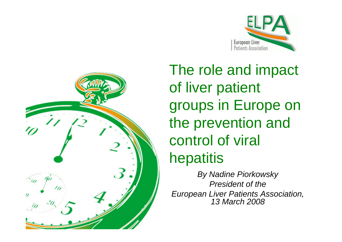



The role and impact of liver patient groups in Europe on the prevention and control of viral hepatitis

*By Nadine Piorkowsky President of the European Liver Patients Association, 13 March 2008*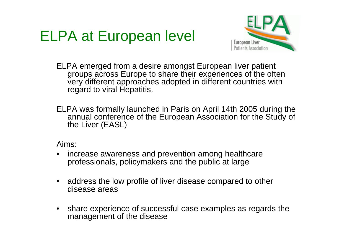#### ELPA at European level



ELPA emerged from a desire amongst European liver patient groups across Europe to share their experiences of the often very different approaches adopted in different countries with regard to viral Hepatitis.

ELPA was formally launched in Paris on April 14th 2005 during the annual conference of the European Association for the Study of the Liver (EASL)

Aims:

- increase awareness and prevention among healthcare professionals, policymakers and the public at large
- address the low profile of liver disease compared to other disease areas
- share experience of successful case examples as regards the management of the disease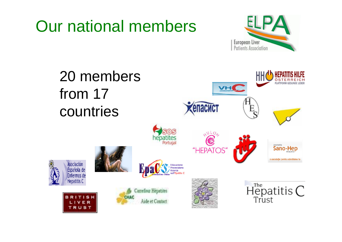### Our national members



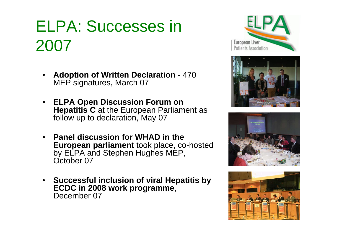# ELPA: Successes in 2007

- **Adoption of Written Declaration**  470 MEP signatures, March 07
- **ELPA Open Discussion Forum on Hepatitis C** at the European Parliament as follow up to declaration, May 07
- **Panel discussion for WHAD in the European parliament** took place, co-hosted by ELPA and Stephen Hughes MEP, October 07
- **Successful inclusion of viral Hepatitis by ECDC in 2008 work programme**, December 07







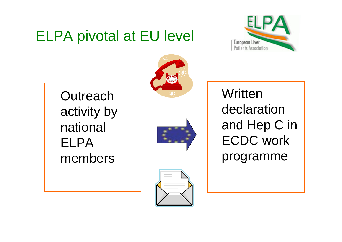#### ELPA pivotal at EU level



**Outreach** activity by national ELPA members



**Written** declaration and Hep C in ECDC work programme

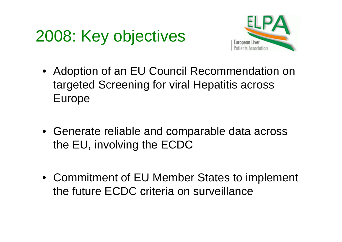# 2008: Key objectives



- Adoption of an EU Council Recommendation on targeted Screening for viral Hepatitis across Europe
- Generate reliable and comparable data across the EU, involving the ECDC
- Commitment of EU Member States to implement the future ECDC criteria on surveillance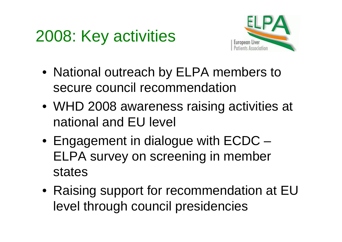# 2008: Key activities



- National outreach by ELPA members to secure council recommendation
- WHD 2008 awareness raising activities at national and EU level
- Engagement in dialogue with ECDC ELPA survey on screening in member states
- Raising support for recommendation at EU level through council presidencies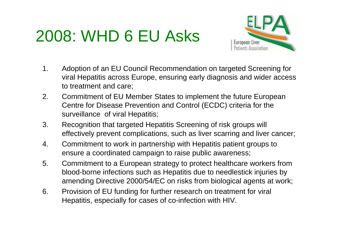# 2008: WHD 6 EU Asks



- 1. Adoption of an EU Council Recommendation on targeted Screening for viral Hepatitis across Europe, ensuring early diagnosis and wider access to treatment and care;
- 2. Commitment of EU Member States to implement the future European Centre for Disease Prevention and Control (ECDC) criteria for the surveillance of viral Hepatitis;
- 3. Recognition that targeted Hepatitis Screening of risk groups will effectively prevent complications, such as liver scarring and liver cancer;
- 4. Commitment to work in partnership with Hepatitis patient groups to ensure a coordinated campaign to raise public awareness;
- 5. Commitment to a European strategy to protect healthcare workers from blood-borne infections such as Hepatitis due to needlestick injuries by amending Directive 2000/54/EC on risks from biological agents at work;
- 6. Provision of EU funding for further research on treatment for viral Hepatitis, especially for cases of co-infection with HIV.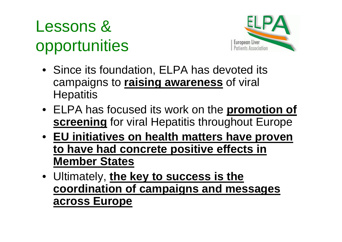# Lessons & opportunities



- Since its foundation, ELPA has devoted its campaigns to **raising awareness** of viral **Hepatitis**
- ELPA has focused its work on the **promotion of screening** for viral Hepatitis throughout Europe
- **EU initiatives on health matters have proven to have had concrete positive effects in Member States**
- Ultimately, **the key to success is the coordination of campaigns and messages across Europe**